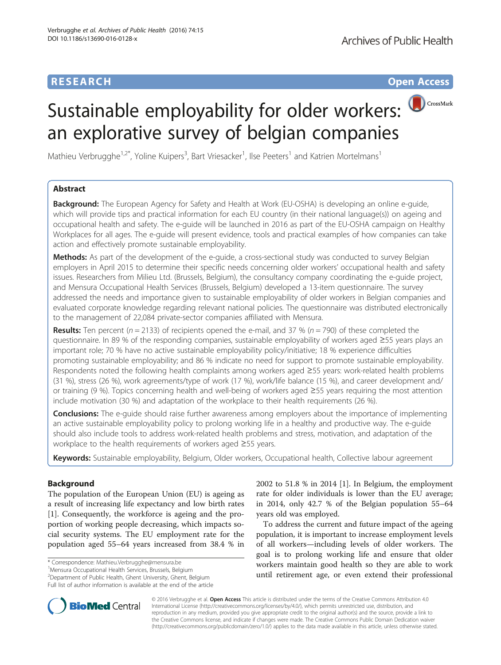# Sustainable employability for older workers: an explorative survey of belgian companies

Mathieu Verbrugghe<sup>1,2\*</sup>, Yoline Kuipers<sup>3</sup>, Bart Vriesacker<sup>1</sup>, Ilse Peeters<sup>1</sup> and Katrien Mortelmans<sup>1</sup>

# Abstract

**Background:** The European Agency for Safety and Health at Work (EU-OSHA) is developing an online e-guide, which will provide tips and practical information for each EU country (in their national language(s)) on ageing and occupational health and safety. The e-guide will be launched in 2016 as part of the EU-OSHA campaign on Healthy Workplaces for all ages. The e-guide will present evidence, tools and practical examples of how companies can take action and effectively promote sustainable employability.

Methods: As part of the development of the e-quide, a cross-sectional study was conducted to survey Belgian employers in April 2015 to determine their specific needs concerning older workers' occupational health and safety issues. Researchers from Milieu Ltd. (Brussels, Belgium), the consultancy company coordinating the e-guide project, and Mensura Occupational Health Services (Brussels, Belgium) developed a 13-item questionnaire. The survey addressed the needs and importance given to sustainable employability of older workers in Belgian companies and evaluated corporate knowledge regarding relevant national policies. The questionnaire was distributed electronically to the management of 22,084 private-sector companies affiliated with Mensura.

**Results:** Ten percent ( $n = 2133$ ) of recipients opened the e-mail, and 37 % ( $n = 790$ ) of these completed the questionnaire. In 89 % of the responding companies, sustainable employability of workers aged ≥55 years plays an important role; 70 % have no active sustainable employability policy/initiative; 18 % experience difficulties promoting sustainable employability; and 86 % indicate no need for support to promote sustainable employability. Respondents noted the following health complaints among workers aged ≥55 years: work-related health problems (31 %), stress (26 %), work agreements/type of work (17 %), work/life balance (15 %), and career development and/ or training (9 %). Topics concerning health and well-being of workers aged ≥55 years requiring the most attention include motivation (30 %) and adaptation of the workplace to their health requirements (26 %).

**Conclusions:** The e-guide should raise further awareness among employers about the importance of implementing an active sustainable employability policy to prolong working life in a healthy and productive way. The e-guide should also include tools to address work-related health problems and stress, motivation, and adaptation of the workplace to the health requirements of workers aged ≥55 years.

Keywords: Sustainable employability, Belgium, Older workers, Occupational health, Collective labour agreement

## Background

The population of the European Union (EU) is ageing as a result of increasing life expectancy and low birth rates [[1\]](#page-3-0). Consequently, the workforce is ageing and the proportion of working people decreasing, which impacts social security systems. The EU employment rate for the population aged 55–64 years increased from 38.4 % in

\* Correspondence: [Mathieu.Verbrugghe@mensura.be](mailto:Mathieu.Verbrugghe@mensura.be) <sup>1</sup>

Mensura Occupational Health Services, Brussels, Belgium

<sup>2</sup> Department of Public Health, Ghent University, Ghent, Belgium Full list of author information is available at the end of the article 2002 to 51.8 % in 2014 [[1\]](#page-3-0). In Belgium, the employment rate for older individuals is lower than the EU average; in 2014, only 42.7 % of the Belgian population 55–64 years old was employed.

To address the current and future impact of the ageing population, it is important to increase employment levels of all workers—including levels of older workers. The goal is to prolong working life and ensure that older workers maintain good health so they are able to work until retirement age, or even extend their professional



© 2016 Verbrugghe et al. Open Access This article is distributed under the terms of the Creative Commons Attribution 4.0 International License [\(http://creativecommons.org/licenses/by/4.0/](http://creativecommons.org/licenses/by/4.0/)), which permits unrestricted use, distribution, and reproduction in any medium, provided you give appropriate credit to the original author(s) and the source, provide a link to the Creative Commons license, and indicate if changes were made. The Creative Commons Public Domain Dedication waiver [\(http://creativecommons.org/publicdomain/zero/1.0/](http://creativecommons.org/publicdomain/zero/1.0/)) applies to the data made available in this article, unless otherwise stated.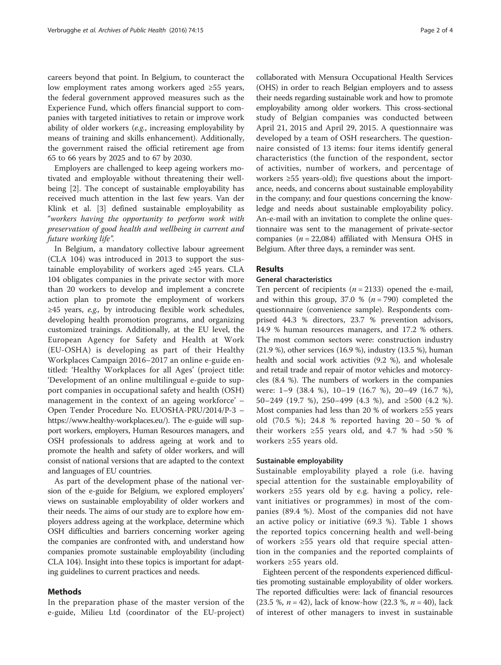careers beyond that point. In Belgium, to counteract the low employment rates among workers aged ≥55 years, the federal government approved measures such as the Experience Fund, which offers financial support to companies with targeted initiatives to retain or improve work ability of older workers (e.g., increasing employability by means of training and skills enhancement). Additionally, the government raised the official retirement age from 65 to 66 years by 2025 and to 67 by 2030.

Employers are challenged to keep ageing workers motivated and employable without threatening their wellbeing [\[2](#page-3-0)]. The concept of sustainable employability has received much attention in the last few years. Van der Klink et al. [\[3](#page-3-0)] defined sustainable employability as "workers having the opportunity to perform work with preservation of good health and wellbeing in current and future working life".

In Belgium, a mandatory collective labour agreement (CLA 104) was introduced in 2013 to support the sustainable employability of workers aged ≥45 years. CLA 104 obligates companies in the private sector with more than 20 workers to develop and implement a concrete action plan to promote the employment of workers  $\geq$ 45 years, *e.g.*, by introducing flexible work schedules, developing health promotion programs, and organizing customized trainings. Additionally, at the EU level, the European Agency for Safety and Health at Work (EU-OSHA) is developing as part of their Healthy Workplaces Campaign 2016–2017 an online e-guide entitled: 'Healthy Workplaces for all Ages' (project title: 'Development of an online multilingual e-guide to support companies in occupational safety and health (OSH) management in the context of an ageing workforce' – Open Tender Procedure No. EUOSHA-PRU/2014/P-3 – [https://www.healthy-workplaces.eu/\)](https://www.healthy-workplaces.eu/). The e-guide will support workers, employers, Human Resources managers, and OSH professionals to address ageing at work and to promote the health and safety of older workers, and will consist of national versions that are adapted to the context and languages of EU countries.

As part of the development phase of the national version of the e-guide for Belgium, we explored employers' views on sustainable employability of older workers and their needs. The aims of our study are to explore how employers address ageing at the workplace, determine which OSH difficulties and barriers concerning worker ageing the companies are confronted with, and understand how companies promote sustainable employability (including CLA 104). Insight into these topics is important for adapting guidelines to current practices and needs.

## Methods

In the preparation phase of the master version of the e-guide, Milieu Ltd (coordinator of the EU-project)

collaborated with Mensura Occupational Health Services (OHS) in order to reach Belgian employers and to assess their needs regarding sustainable work and how to promote employability among older workers. This cross-sectional study of Belgian companies was conducted between April 21, 2015 and April 29, 2015. A questionnaire was developed by a team of OSH researchers. The questionnaire consisted of 13 items: four items identify general characteristics (the function of the respondent, sector of activities, number of workers, and percentage of workers ≥55 years-old); five questions about the importance, needs, and concerns about sustainable employability in the company; and four questions concerning the knowledge and needs about sustainable employability policy. An-e-mail with an invitation to complete the online questionnaire was sent to the management of private-sector companies ( $n = 22,084$ ) affiliated with Mensura OHS in Belgium. After three days, a reminder was sent.

### **Results**

#### General characteristics

Ten percent of recipients ( $n = 2133$ ) opened the e-mail, and within this group, 37.0 %  $(n = 790)$  completed the questionnaire (convenience sample). Respondents comprised 44.3 % directors, 23.7 % prevention advisors, 14.9 % human resources managers, and 17.2 % others. The most common sectors were: construction industry (21.9 %), other services (16.9 %), industry (13.5 %), human health and social work activities (9.2 %), and wholesale and retail trade and repair of motor vehicles and motorcycles (8.4 %). The numbers of workers in the companies were: 1–9 (38.4 %), 10–19 (16.7 %), 20–49 (16.7 %), 50–249 (19.7 %), 250–499 (4.3 %), and ≥500 (4.2 %). Most companies had less than 20 % of workers ≥55 years old (70.5 %); 24.8 % reported having 20 − 50 % of their workers ≥55 years old, and 4.7 % had >50 % workers ≥55 years old.

#### Sustainable employability

Sustainable employability played a role (i.e. having special attention for the sustainable employability of workers ≥55 years old by e.g. having a policy, relevant initiatives or programmes) in most of the companies (89.4 %). Most of the companies did not have an active policy or initiative (69.3 %). Table [1](#page-2-0) shows the reported topics concerning health and well-being of workers ≥55 years old that require special attention in the companies and the reported complaints of workers ≥55 years old.

Eighteen percent of the respondents experienced difficulties promoting sustainable employability of older workers. The reported difficulties were: lack of financial resources (23.5 %,  $n = 42$ ), lack of know-how (22.3 %,  $n = 40$ ), lack of interest of other managers to invest in sustainable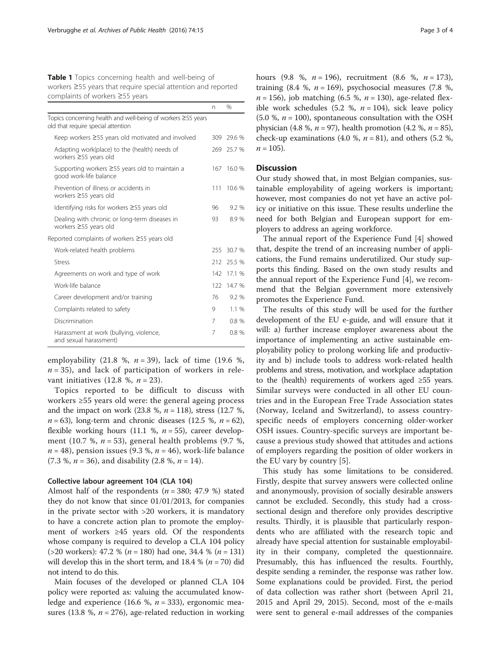<span id="page-2-0"></span>Table 1 Topics concerning health and well-being of workers ≥55 years that require special attention and reported complaints of workers ≥55 years

|                                                                                                    | n   | %          |
|----------------------------------------------------------------------------------------------------|-----|------------|
| Topics concerning health and well-being of workers ≥55 years<br>old that require special attention |     |            |
| Keep workers ≥55 years old motivated and involved                                                  | 309 | 29.6 %     |
| Adapting work(place) to the (health) needs of<br>workers $\geq$ 55 years old                       |     | 269 25.7 % |
| Supporting workers ≥55 years old to maintain a<br>good work-life balance                           | 167 | 16.0 %     |
| Prevention of illness or accidents in<br>workers $\geq$ 55 years old                               | 111 | 10.6 %     |
| Identifying risks for workers ≥55 years old                                                        | 96  | 9.2%       |
| Dealing with chronic or long-term diseases in<br>workers $\geq$ 55 years old                       | 93  | 8.9 %      |
| Reported complaints of workers ≥55 years old                                                       |     |            |
| Work-related health problems                                                                       | 255 | 30.7 %     |
| Stress                                                                                             | 212 | 25.5 %     |
| Agreements on work and type of work                                                                | 142 | 17.1 %     |
| Work-life balance                                                                                  | 122 | 14.7 %     |
| Career development and/or training                                                                 | 76  | 9.2%       |
| Complaints related to safety                                                                       | 9   | 1.1%       |
| Discrimination                                                                                     | 7   | 0.8%       |
| Harassment at work (bullying, violence,<br>and sexual harassment)                                  | 7   | 0.8%       |

employability (21.8 %,  $n = 39$ ), lack of time (19.6 %,  $n = 35$ ), and lack of participation of workers in relevant initiatives (12.8 %,  $n = 23$ ).

Topics reported to be difficult to discuss with workers ≥55 years old were: the general ageing process and the impact on work  $(23.8 \, %, n = 118)$ , stress  $(12.7 \, %, n = 118)$  $n = 63$ ), long-term and chronic diseases (12.5 %,  $n = 62$ ), flexible working hours (11.1 %,  $n = 55$ ), career development (10.7 %,  $n = 53$ ), general health problems (9.7 %,  $n = 48$ ), pension issues (9.3 %,  $n = 46$ ), work-life balance  $(7.3 \%, n = 36)$ , and disability  $(2.8 \%, n = 14)$ .

## Collective labour agreement 104 (CLA 104)

Almost half of the respondents ( $n = 380$ ; 47.9 %) stated they do not know that since 01/01/2013, for companies in the private sector with >20 workers, it is mandatory to have a concrete action plan to promote the employment of workers ≥45 years old. Of the respondents whose company is required to develop a CLA 104 policy  $($ >20 workers): 47.2 % (*n* = 180) had one, 34.4 % (*n* = 131) will develop this in the short term, and 18.4 % ( $n = 70$ ) did not intend to do this.

Main focuses of the developed or planned CLA 104 policy were reported as: valuing the accumulated knowledge and experience (16.6 %,  $n = 333$ ), ergonomic measures (13.8 %,  $n = 276$ ), age-related reduction in working hours (9.8 %,  $n = 196$ ), recruitment (8.6 %,  $n = 173$ ), training (8.4 %,  $n = 169$ ), psychosocial measures (7.8 %,  $n = 156$ ), job matching (6.5 %,  $n = 130$ ), age-related flexible work schedules (5.2 %,  $n = 104$ ), sick leave policy (5.0 %,  $n = 100$ ), spontaneous consultation with the OSH physician (4.8 %,  $n = 97$ ), health promotion (4.2 %,  $n = 85$ ), check-up examinations (4.0 %,  $n = 81$ ), and others (5.2 %,  $n = 105$ ).

## **Discussion**

Our study showed that, in most Belgian companies, sustainable employability of ageing workers is important; however, most companies do not yet have an active policy or initiative on this issue. These results underline the need for both Belgian and European support for employers to address an ageing workforce.

The annual report of the Experience Fund [\[4](#page-3-0)] showed that, despite the trend of an increasing number of applications, the Fund remains underutilized. Our study supports this finding. Based on the own study results and the annual report of the Experience Fund [[4](#page-3-0)], we recommend that the Belgian government more extensively promotes the Experience Fund.

The results of this study will be used for the further development of the EU e-guide, and will ensure that it will: a) further increase employer awareness about the importance of implementing an active sustainable employability policy to prolong working life and productivity and b) include tools to address work-related health problems and stress, motivation, and workplace adaptation to the (health) requirements of workers aged ≥55 years. Similar surveys were conducted in all other EU countries and in the European Free Trade Association states (Norway, Iceland and Switzerland), to assess countryspecific needs of employers concerning older-worker OSH issues. Country-specific surveys are important because a previous study showed that attitudes and actions of employers regarding the position of older workers in the EU vary by country [\[5](#page-3-0)].

This study has some limitations to be considered. Firstly, despite that survey answers were collected online and anonymously, provision of socially desirable answers cannot be excluded. Secondly, this study had a crosssectional design and therefore only provides descriptive results. Thirdly, it is plausible that particularly respondents who are affiliated with the research topic and already have special attention for sustainable employability in their company, completed the questionnaire. Presumably, this has influenced the results. Fourthly, despite sending a reminder, the response was rather low. Some explanations could be provided. First, the period of data collection was rather short (between April 21, 2015 and April 29, 2015). Second, most of the e-mails were sent to general e-mail addresses of the companies